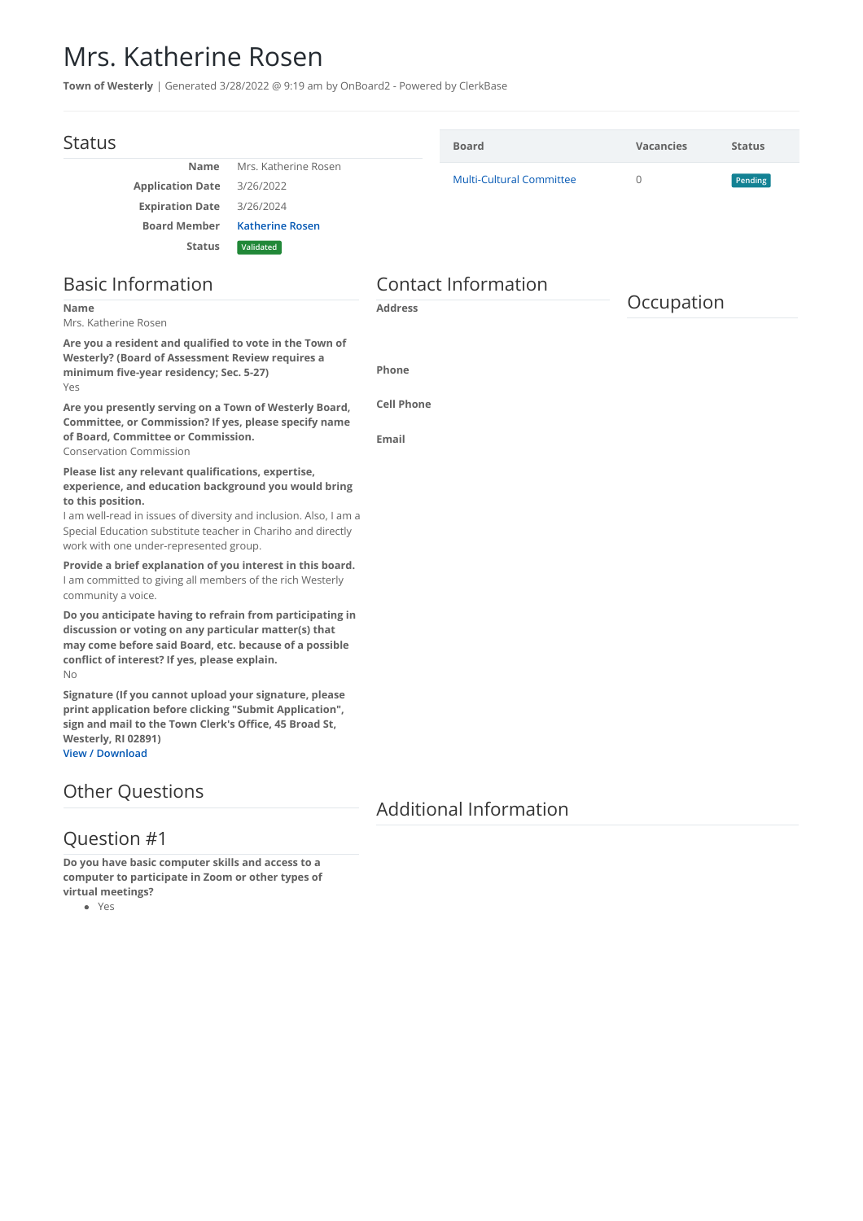## Mrs. Katherine Rosen

**Town of Westerly** | Generated 3/28/2022 @ 9:19 am by OnBoard2 - Powered by ClerkBase

| <b>Status</b>                                                                                                                                                                                                                                                         |                        |                            | <b>Board</b>                    | <b>Vacancies</b> | <b>Status</b> |
|-----------------------------------------------------------------------------------------------------------------------------------------------------------------------------------------------------------------------------------------------------------------------|------------------------|----------------------------|---------------------------------|------------------|---------------|
| <b>Name</b>                                                                                                                                                                                                                                                           | Mrs. Katherine Rosen   |                            |                                 |                  |               |
| <b>Application Date</b>                                                                                                                                                                                                                                               | 3/26/2022              |                            | <b>Multi-Cultural Committee</b> | $\overline{0}$   | Pending       |
| <b>Expiration Date</b>                                                                                                                                                                                                                                                | 3/26/2024              |                            |                                 |                  |               |
| <b>Board Member</b>                                                                                                                                                                                                                                                   | <b>Katherine Rosen</b> |                            |                                 |                  |               |
| <b>Status</b>                                                                                                                                                                                                                                                         | Validated              |                            |                                 |                  |               |
| <b>Basic Information</b>                                                                                                                                                                                                                                              |                        | <b>Contact Information</b> |                                 |                  |               |
| <b>Name</b><br>Mrs. Katherine Rosen                                                                                                                                                                                                                                   |                        | <b>Address</b>             |                                 | Occupation       |               |
| Are you a resident and qualified to vote in the Town of                                                                                                                                                                                                               |                        |                            |                                 |                  |               |
| <b>Westerly? (Board of Assessment Review requires a</b><br>minimum five-year residency; Sec. 5-27)<br>Yes                                                                                                                                                             |                        | Phone                      |                                 |                  |               |
| Are you presently serving on a Town of Westerly Board,<br>Committee, or Commission? If yes, please specify name                                                                                                                                                       |                        | <b>Cell Phone</b>          |                                 |                  |               |
| of Board, Committee or Commission.<br><b>Conservation Commission</b>                                                                                                                                                                                                  |                        | Email                      |                                 |                  |               |
| Please list any relevant qualifications, expertise,<br>experience, and education background you would bring<br>to this position.<br>I am well-read in issues of diversity and inclusion. Also, I am a<br>Special Education substitute teacher in Chariho and directly |                        |                            |                                 |                  |               |
| work with one under-represented group.                                                                                                                                                                                                                                |                        |                            |                                 |                  |               |
| Provide a brief explanation of you interest in this board.<br>I am committed to giving all members of the rich Westerly<br>community a voice.                                                                                                                         |                        |                            |                                 |                  |               |
| Do you anticipate having to refrain from participating in<br>discussion or voting on any particular matter(s) that<br>may come before said Board, etc. because of a possible<br>conflict of interest? If yes, please explain.<br>No                                   |                        |                            |                                 |                  |               |
| Signature (If you cannot upload your signature, please<br>print application before clicking "Submit Application",<br>sign and mail to the Town Clerk's Office, 45 Broad St,<br>Westerly, RI 02891)<br><b>View / Download</b>                                          |                        |                            |                                 |                  |               |
| <b>Other Questions</b>                                                                                                                                                                                                                                                |                        | $\blacksquare$             |                                 |                  |               |

Additional Information

## Question #1

**Do you have basic computer skills and access to a computer to participate in Zoom or other types of virtual meetings?**

Yes